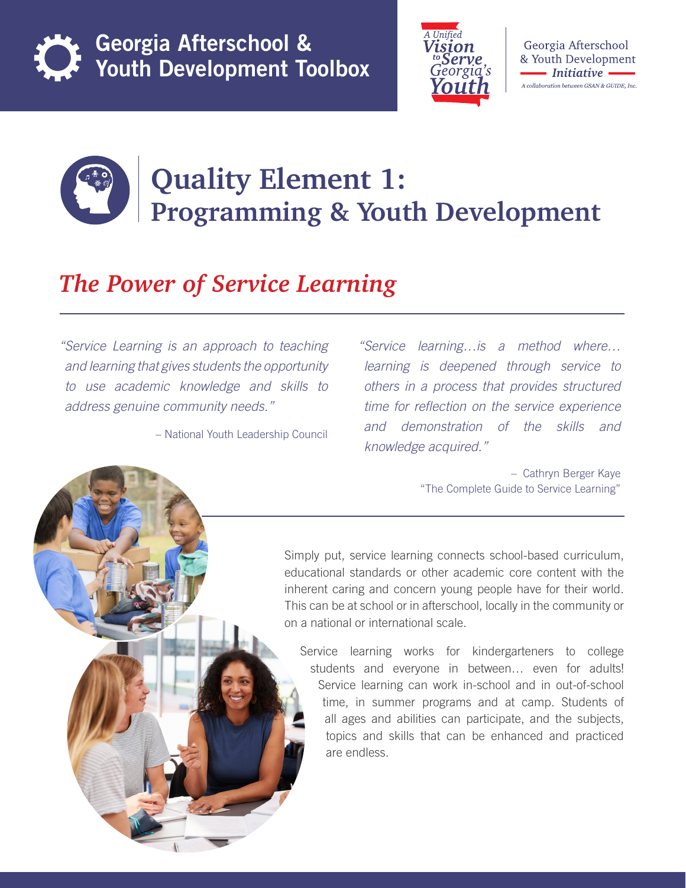



Georgia Afterschool & Youth Development • Initiative A collaboration between GSAN & GUIDE, Inc.



## **Quality Element 1: Programming & Youth Development**

## *The Power of Service Learning*

*"Service Learning is an approach to teaching and learning that gives students the opportunity to use academic knowledge and skills to address genuine community needs."* 

– National Youth Leadership Council

*"Service learning…is a method where… learning is deepened through service to others in a process that provides structured time for reflection on the service experience and demonstration of the skills and knowledge acquired."*

> – Cathryn Berger Kaye "The Complete Guide to Service Learning"

Simply put, service learning connects school-based curriculum, educational standards or other academic core content with the inherent caring and concern young people have for their world. This can be at school or in afterschool, locally in the community or on a national or international scale.

Service learning works for kindergarteners to college students and everyone in between… even for adults! Service learning can work in-school and in out-of-school time, in summer programs and at camp. Students of all ages and abilities can participate, and the subjects, topics and skills that can be enhanced and practiced are endless.